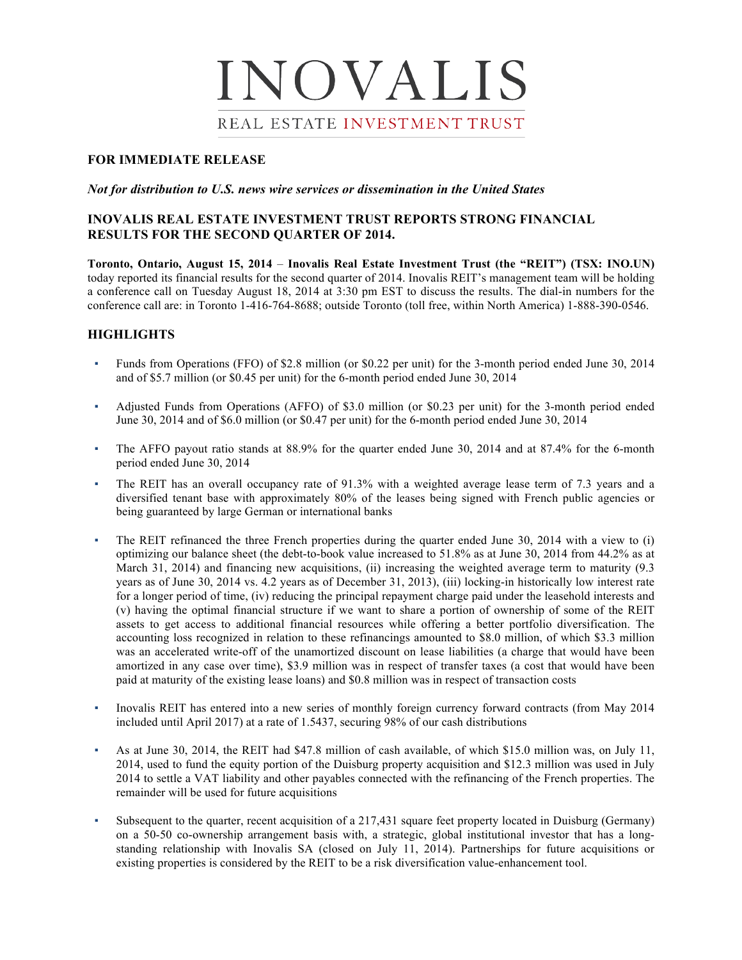# INOVALIS REAL ESTATE INVESTMENT TRUST

# **FOR IMMEDIATE RELEASE**

### *Not for distribution to U.S. news wire services or dissemination in the United States*

# **INOVALIS REAL ESTATE INVESTMENT TRUST REPORTS STRONG FINANCIAL RESULTS FOR THE SECOND QUARTER OF 2014.**

**Toronto, Ontario, August 15, 2014** – **Inovalis Real Estate Investment Trust (the "REIT") (TSX: INO.UN)**  today reported its financial results for the second quarter of 2014. Inovalis REIT's management team will be holding a conference call on Tuesday August 18, 2014 at 3:30 pm EST to discuss the results. The dial-in numbers for the conference call are: in Toronto 1-416-764-8688; outside Toronto (toll free, within North America) 1-888-390-0546.

# **HIGHLIGHTS**

- Funds from Operations (FFO) of \$2.8 million (or \$0.22 per unit) for the 3-month period ended June 30, 2014 and of \$5.7 million (or \$0.45 per unit) for the 6-month period ended June 30, 2014
- Adjusted Funds from Operations (AFFO) of \$3.0 million (or \$0.23 per unit) for the 3-month period ended June 30, 2014 and of \$6.0 million (or \$0.47 per unit) for the 6-month period ended June 30, 2014
- The AFFO payout ratio stands at 88.9% for the quarter ended June 30, 2014 and at 87.4% for the 6-month period ended June 30, 2014
- The REIT has an overall occupancy rate of 91.3% with a weighted average lease term of 7.3 years and a diversified tenant base with approximately 80% of the leases being signed with French public agencies or being guaranteed by large German or international banks
- The REIT refinanced the three French properties during the quarter ended June 30, 2014 with a view to (i) optimizing our balance sheet (the debt-to-book value increased to 51.8% as at June 30, 2014 from 44.2% as at March 31, 2014) and financing new acquisitions, (ii) increasing the weighted average term to maturity (9.3 years as of June 30, 2014 vs. 4.2 years as of December 31, 2013), (iii) locking-in historically low interest rate for a longer period of time, (iv) reducing the principal repayment charge paid under the leasehold interests and (v) having the optimal financial structure if we want to share a portion of ownership of some of the REIT assets to get access to additional financial resources while offering a better portfolio diversification. The accounting loss recognized in relation to these refinancings amounted to \$8.0 million, of which \$3.3 million was an accelerated write-off of the unamortized discount on lease liabilities (a charge that would have been amortized in any case over time), \$3.9 million was in respect of transfer taxes (a cost that would have been paid at maturity of the existing lease loans) and \$0.8 million was in respect of transaction costs
- Inovalis REIT has entered into a new series of monthly foreign currency forward contracts (from May 2014 included until April 2017) at a rate of 1.5437, securing 98% of our cash distributions
- As at June 30, 2014, the REIT had \$47.8 million of cash available, of which \$15.0 million was, on July 11, 2014, used to fund the equity portion of the Duisburg property acquisition and \$12.3 million was used in July 2014 to settle a VAT liability and other payables connected with the refinancing of the French properties. The remainder will be used for future acquisitions
- Subsequent to the quarter, recent acquisition of a 217,431 square feet property located in Duisburg (Germany) on a 50-50 co-ownership arrangement basis with, a strategic, global institutional investor that has a longstanding relationship with Inovalis SA (closed on July 11, 2014). Partnerships for future acquisitions or existing properties is considered by the REIT to be a risk diversification value-enhancement tool.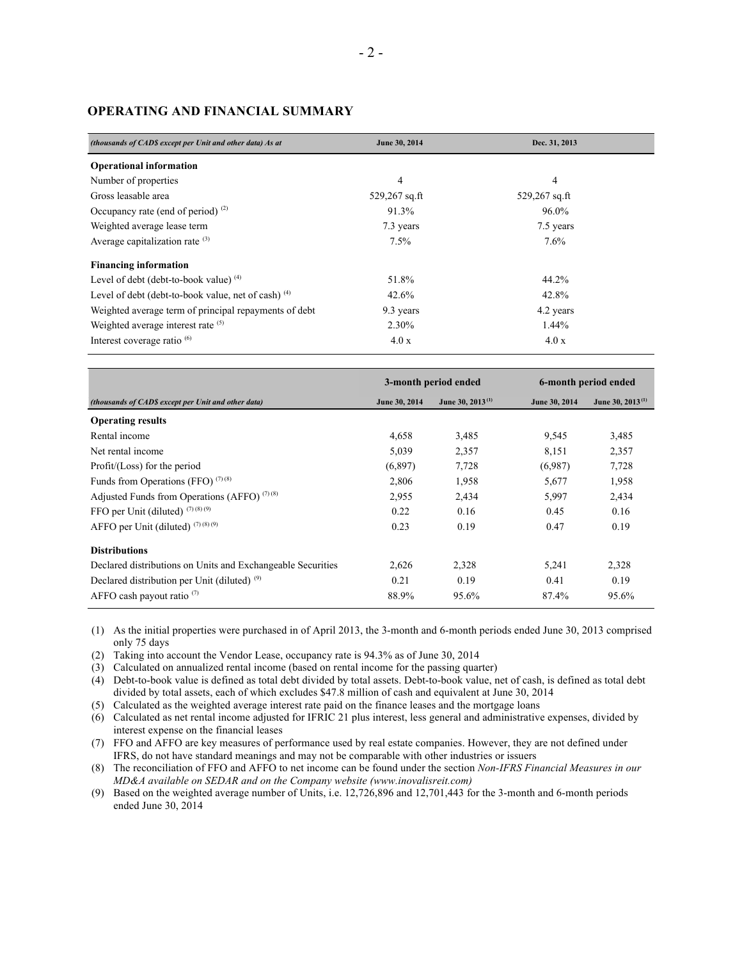# **OPERATING AND FINANCIAL SUMMARY**

| (thousands of CADS except per Unit and other data) As at | June 30, 2014   | Dec. 31, 2013   |  |
|----------------------------------------------------------|-----------------|-----------------|--|
| <b>Operational information</b>                           |                 |                 |  |
| Number of properties                                     | 4               | 4               |  |
| Gross leasable area                                      | $529,267$ sq.ft | $529,267$ sq.ft |  |
| Occupancy rate (end of period) $^{(2)}$                  | 91.3%           | 96.0%           |  |
| Weighted average lease term                              | 7.3 years       | 7.5 years       |  |
| Average capitalization rate $(3)$                        | 7.5%            | 7.6%            |  |
| <b>Financing information</b>                             |                 |                 |  |
| Level of debt (debt-to-book value) $(4)$                 | 51.8%           | 44.2%           |  |
| Level of debt (debt-to-book value, net of cash) $(4)$    | 42.6%           | 42.8%           |  |
| Weighted average term of principal repayments of debt    | 9.3 years       | 4.2 years       |  |
| Weighted average interest rate (5)                       | 2.30%           | 1.44%           |  |
| Interest coverage ratio <sup>(6)</sup>                   | 4.0 x           | 4.0x            |  |

|                                                             | 3-month period ended |                       | 6-month period ended |                       |
|-------------------------------------------------------------|----------------------|-----------------------|----------------------|-----------------------|
| (thousands of CADS except per Unit and other data)          | June 30, 2014        | June 30, $2013^{(1)}$ | June 30, 2014        | June 30, $2013^{(1)}$ |
| <b>Operating results</b>                                    |                      |                       |                      |                       |
| Rental income                                               | 4,658                | 3,485                 | 9,545                | 3,485                 |
| Net rental income                                           | 5,039                | 2,357                 | 8,151                | 2,357                 |
| Profit/(Loss) for the period                                | (6,897)              | 7,728                 | (6.987)              | 7,728                 |
| Funds from Operations (FFO) $(7)(8)$                        | 2,806                | 1,958                 | 5,677                | 1,958                 |
| Adjusted Funds from Operations (AFFO) <sup>(7)(8)</sup>     | 2,955                | 2,434                 | 5,997                | 2,434                 |
| FFO per Unit (diluted) $(7)(8)(9)$                          | 0.22                 | 0.16                  | 0.45                 | 0.16                  |
| AFFO per Unit (diluted) $(7)(8)(9)$                         | 0.23                 | 0.19                  | 0.47                 | 0.19                  |
| <b>Distributions</b>                                        |                      |                       |                      |                       |
| Declared distributions on Units and Exchangeable Securities | 2,626                | 2,328                 | 5,241                | 2,328                 |
| Declared distribution per Unit (diluted) $(9)$              | 0.21                 | 0.19                  | 0.41                 | 0.19                  |
| AFFO cash payout ratio $(7)$                                | 88.9%                | 95.6%                 | 87.4%                | 95.6%                 |

(1) As the initial properties were purchased in of April 2013, the 3-month and 6-month periods ended June 30, 2013 comprised only 75 days

(2) Taking into account the Vendor Lease, occupancy rate is 94.3% as of June 30, 2014

(3) Calculated on annualized rental income (based on rental income for the passing quarter)

(4) Debt-to-book value is defined as total debt divided by total assets. Debt-to-book value, net of cash, is defined as total debt divided by total assets, each of which excludes \$47.8 million of cash and equivalent at June 30, 2014

(5) Calculated as the weighted average interest rate paid on the finance leases and the mortgage loans

(6) Calculated as net rental income adjusted for IFRIC 21 plus interest, less general and administrative expenses, divided by interest expense on the financial leases

(7) FFO and AFFO are key measures of performance used by real estate companies. However, they are not defined under IFRS, do not have standard meanings and may not be comparable with other industries or issuers

(8) The reconciliation of FFO and AFFO to net income can be found under the section *Non-IFRS Financial Measures in our MD&A available on SEDAR and on the Company website (www.inovalisreit.com)*

(9) Based on the weighted average number of Units, i.e. 12,726,896 and 12,701,443 for the 3-month and 6-month periods ended June 30, 2014